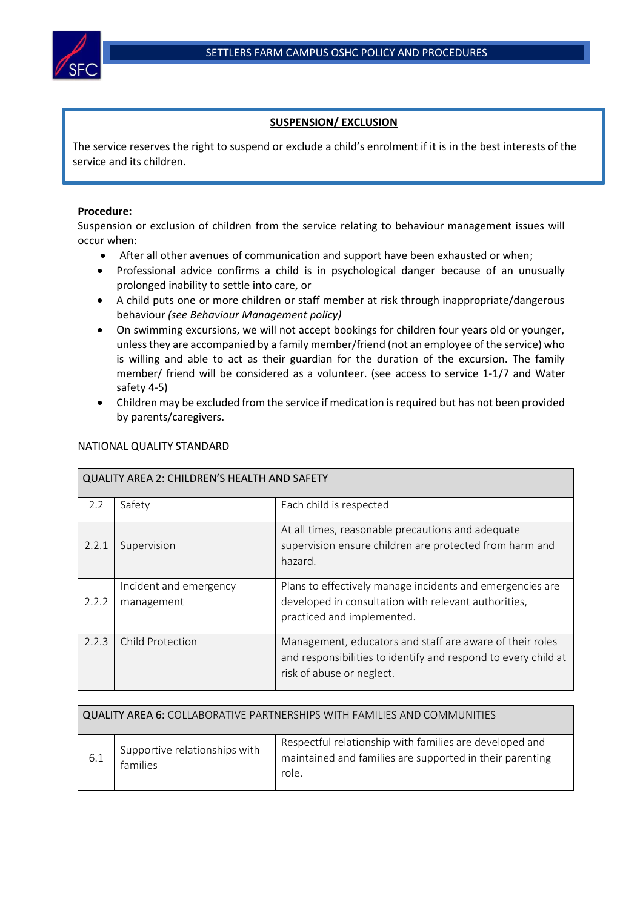## **SUSPENSION/ EXCLUSION**

The service reserves the right to suspend or exclude a child's enrolment if it is in the best interests of the service and its children.

## **Procedure:**

Suspension or exclusion of children from the service relating to behaviour management issues will occur when:

- After all other avenues of communication and support have been exhausted or when;
- Professional advice confirms a child is in psychological danger because of an unusually prolonged inability to settle into care, or
- A child puts one or more children or staff member at risk through inappropriate/dangerous behaviour *(see Behaviour Management policy)*
- On swimming excursions, we will not accept bookings for children four years old or younger, unless they are accompanied by a family member/friend (not an employee of the service) who is willing and able to act as their guardian for the duration of the excursion. The family member/ friend will be considered as a volunteer. (see access to service 1-1/7 and Water safety 4-5)
- Children may be excluded from the service if medication is required but has not been provided by parents/caregivers.

| <b>QUALITY AREA 2: CHILDREN'S HEALTH AND SAFETY</b> |                                      |                                                                                                                                                         |  |  |  |
|-----------------------------------------------------|--------------------------------------|---------------------------------------------------------------------------------------------------------------------------------------------------------|--|--|--|
| 2.2                                                 | Safety                               | Each child is respected                                                                                                                                 |  |  |  |
| 2.2.1                                               | Supervision                          | At all times, reasonable precautions and adequate<br>supervision ensure children are protected from harm and<br>hazard.                                 |  |  |  |
| 2.2.2                                               | Incident and emergency<br>management | Plans to effectively manage incidents and emergencies are<br>developed in consultation with relevant authorities,<br>practiced and implemented.         |  |  |  |
| 2.2.3                                               | Child Protection                     | Management, educators and staff are aware of their roles<br>and responsibilities to identify and respond to every child at<br>risk of abuse or neglect. |  |  |  |

## NATIONAL QUALITY STANDARD

| QUALITY AREA 6: COLLABORATIVE PARTNERSHIPS WITH FAMILIES AND COMMUNITIES |                                           |                                                                                                                              |  |  |  |
|--------------------------------------------------------------------------|-------------------------------------------|------------------------------------------------------------------------------------------------------------------------------|--|--|--|
| -6.1                                                                     | Supportive relationships with<br>families | Respectful relationship with families are developed and<br>maintained and families are supported in their parenting<br>role. |  |  |  |